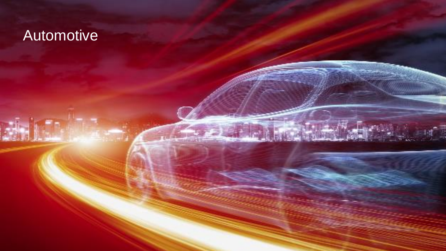## Automotive Automotive

the image of the in-

Use this pullout box to highlight important text or

above image to make the  $\mathbb{R}^n$ 

 $\mathbf{F}$  , and the place of the gray or which gray or which gray or which gray or  $\mathbf{F}$ 

which will be a set of  $\mathbb{R}$  which is more visible above  $\mathbb{R}$ 

additional information that captures reader's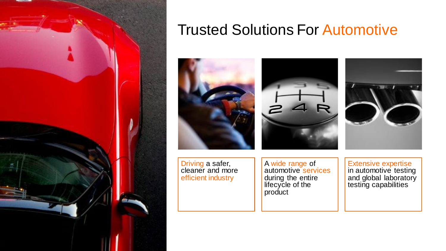

# Trusted Solutions For Automotive



Driving a safer, cleaner and more efficient industry

A wide range of automotive services during the entire lifecycle of the product

Extensive expertise in automotive testing and global laboratory testing capabilities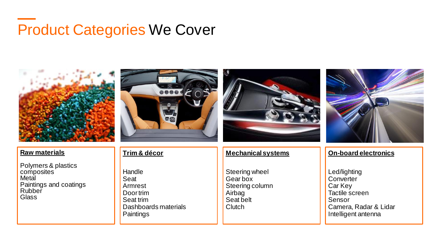# Product Categories We Cover







#### **Raw materials**

Polymers & plastics composites **Metal** Paintings and coatings **Rubber Glass** 

#### **Trim & décor**

Handle Seat Armrest Door trim Seat trim Dashboards materials **Paintings** 

#### **Mechanical systems**

Steering wheel Gear box Steering column Airbag Seat belt **Clutch** 

#### **On-board electronics**

Led/lighting **Converter** Car Key Tactile screen Sensor Camera, Radar & Lidar Intelligent antenna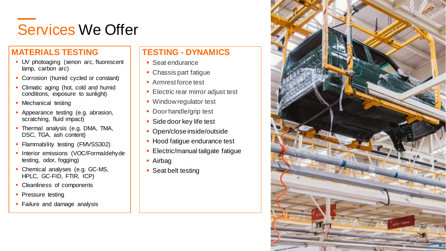# Services We Offer

### **MATERIALS TESTING**

- **UV photoaging (xenon arc, fluorescent** lamp, carbon arc)
- **Corrosion (humid cycled or constant)**
- Climatic aging (hot, cold and humid conditions, exposure to sunlight)
- **Mechanical testing**
- **Appearance testing (e.g. abrasion,** scratching, fluid impact)
- **· Thermal analysis (e.g. DMA, TMA,** DSC, TGA, ash content)
- **Flammability testing (FMVSS302)**
- **· Interior emissions (VOC/Formaldehyde** testing, odor, fogging)
- **Chemical analyses (e.g. GC-MS,** HPLC, GC-FID, FTIR, ICP)
- Cleanliness of components
- **Pressure testing**
- Failure and damage analysis

### **TESTING - DYNAMICS**

- Seat endurance
- **Chassis part fatigue**
- Armrest force test
- **Electric rear mirror adjust test**
- Window regulator test
- Door handle/grip test
- Side door key life test
- Open/close inside/outside
- Hood fatigue endurance test
- **Electric/manual tailgate fatigue**
- Airbag
- **Seat belt testing**

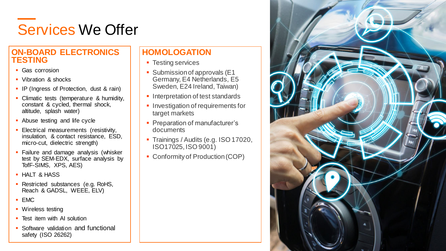# Services We Offer

### **ON-BOARD ELECTRONICS TESTING**

- Gas corrosion
- Vibration & shocks
- **IP (Ingress of Protection, dust & rain)**
- **Climatic tests (temperature & humidity,** constant & cycled, thermal shock, altitude, splash water)
- **Abuse testing and life cycle**
- Electrical measurements (resistivity, insulation, & contact resistance, ESD, micro-cut, dielectric strength)
- **Failure and damage analysis (whisker)** test by SEM-EDX, surface analysis by TofF-SIMS, XPS, AES)
- **· HALT & HASS**
- **· Restricted substances (e.g. RoHS,** Reach & GADSL, WEEE, ELV)
- EMC
- **Wireless testing**
- **E** Test item with AI solution
- Software validation and functional safety (ISO 26262)

# **HOMOLOGATION**

- **Testing services**
- Submission of approvals (E1 Germany, E4 Netherlands, E5 Sweden, E24 Ireland, Taiwan)
- **· Interpretation of test standards**
- **Investigation of requirements for** target markets
- Preparation of manufacturer's documents
- Trainings / Audits (e.g. ISO 17020, ISO17025, ISO 9001)
- Conformity of Production (COP)